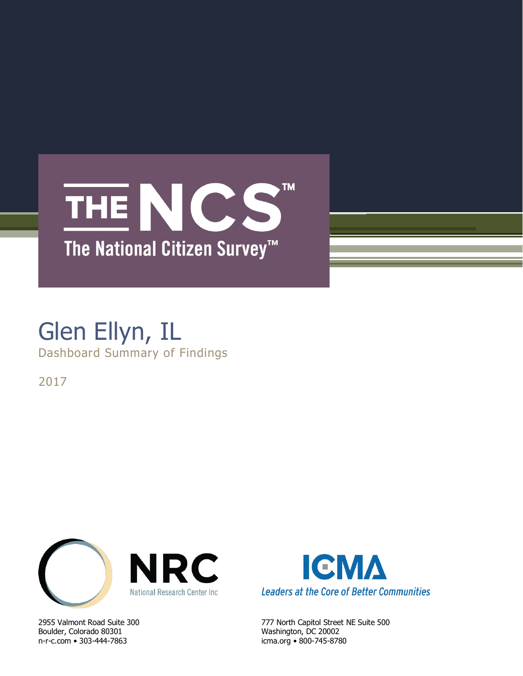# THE NCS **TM** The National Citizen Survey<sup>™</sup>

## Glen Ellyn, IL Dashboard Summary of Findings

2017



Boulder, Colorado 80301 Washington, DC 20002 n-r-c.com • 303-444-7863 icma.org • 800-745-8780



2955 Valmont Road Suite 300 777 North Capitol Street NE Suite 500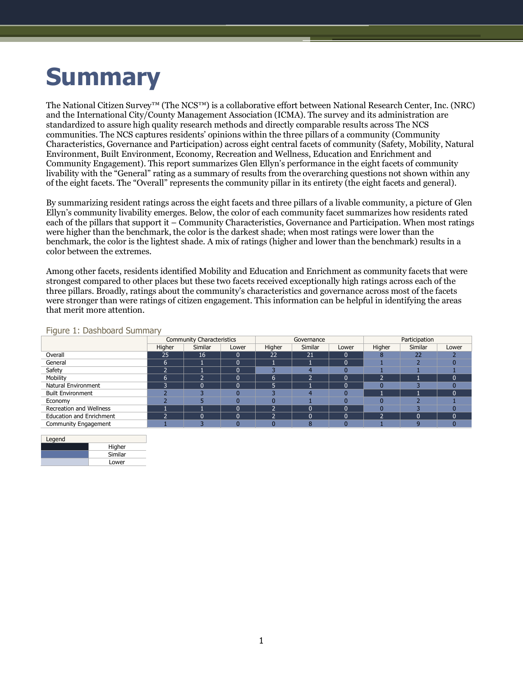# **Summary**

The National Citizen Survey™ (The NCS™) is a collaborative effort between National Research Center, Inc. (NRC) and the International City/County Management Association (ICMA). The survey and its administration are standardized to assure high quality research methods and directly comparable results across The NCS communities. The NCS captures residents' opinions within the three pillars of a community (Community Characteristics, Governance and Participation) across eight central facets of community (Safety, Mobility, Natural Environment, Built Environment, Economy, Recreation and Wellness, Education and Enrichment and Community Engagement). This report summarizes Glen Ellyn's performance in the eight facets of community livability with the "General" rating as a summary of results from the overarching questions not shown within any of the eight facets. The "Overall" represents the community pillar in its entirety (the eight facets and general).

By summarizing resident ratings across the eight facets and three pillars of a livable community, a picture of Glen Ellyn's community livability emerges. Below, the color of each community facet summarizes how residents rated each of the pillars that support it – Community Characteristics, Governance and Participation. When most ratings were higher than the benchmark, the color is the darkest shade; when most ratings were lower than the benchmark, the color is the lightest shade. A mix of ratings (higher and lower than the benchmark) results in a color between the extremes.

Among other facets, residents identified Mobility and Education and Enrichment as community facets that were strongest compared to other places but these two facets received exceptionally high ratings across each of the three pillars. Broadly, ratings about the community's characteristics and governance across most of the facets were stronger than were ratings of citizen engagement. This information can be helpful in identifying the areas that merit more attention.

| $\tilde{\phantom{a}}$           | <b>Community Characteristics</b> |          |              | Governance |         |       | Participation |                |          |
|---------------------------------|----------------------------------|----------|--------------|------------|---------|-------|---------------|----------------|----------|
|                                 | Higher                           | Similar  | Lower        | Higher     | Similar | Lower | Higher        | <b>Similar</b> | Lower    |
| Overall                         | 25                               | 16       | $\Omega$     | 22         | 21      |       |               | 22             |          |
| General                         | b                                |          | 0            |            |         |       |               |                |          |
| Safety                          |                                  |          | 0            |            |         |       |               |                |          |
| Mobility                        | h                                | ∍        | $\mathbf{0}$ | 6          | h       | ∩     |               |                | $\Omega$ |
| Natural Environment             |                                  | $\Omega$ | 0            | −<br>ь     |         |       |               |                |          |
| <b>Built Environment</b>        |                                  |          |              |            |         |       |               |                | $\Omega$ |
| Economy                         |                                  |          | n            |            |         |       |               |                |          |
| Recreation and Wellness         |                                  |          | $\Omega$     | n          |         |       |               |                |          |
| <b>Education and Enrichment</b> |                                  | 0        | $\Omega$     | n          |         | n     | ∍             | $\Omega$       | $\Omega$ |
| Community Engagement            |                                  |          |              |            | 75      |       |               |                |          |

#### Figure 1: Dashboard Summary

| Legend |         |
|--------|---------|
|        | Higher  |
|        | Similar |
|        | Lower   |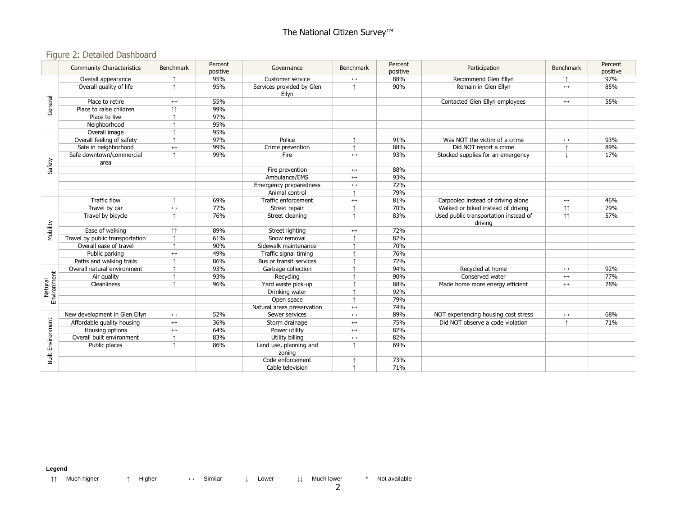### Figure 2: Detailed Dashboard

|                          | <b>Community Characteristics</b> | Benchmark             | Percent<br>positive | Governance                         | <b>Benchmark</b>      | Percent<br>positive         | Participation                                    | Benchmark             | Percent<br>positive |
|--------------------------|----------------------------------|-----------------------|---------------------|------------------------------------|-----------------------|-----------------------------|--------------------------------------------------|-----------------------|---------------------|
| General                  | Overall appearance               |                       | 95%                 | Customer service                   | $\leftrightarrow$     | 88%                         | Recommend Glen Ellvn                             |                       | 97%                 |
|                          | Overall quality of life          | $\uparrow$            | 95%                 | Services provided by Glen<br>Ellvn | $\uparrow$            | 90%<br>Remain in Glen Ellyn |                                                  | $\longleftrightarrow$ | 85%                 |
|                          | Place to retire                  | $\leftrightarrow$     | 55%                 |                                    |                       |                             | Contacted Glen Ellyn employees                   | $\leftrightarrow$     | 55%                 |
|                          | Place to raise children          | $\uparrow\uparrow$    | 99%                 |                                    |                       |                             |                                                  |                       |                     |
|                          | Place to live                    |                       | 97%                 |                                    |                       |                             |                                                  |                       |                     |
|                          | Neighborhood                     |                       | 95%                 |                                    |                       |                             |                                                  |                       |                     |
|                          | Overall image                    |                       | 95%                 |                                    |                       |                             |                                                  |                       |                     |
|                          | Overall feeling of safety        |                       | 97%                 | Police                             |                       | 91%                         | Was NOT the victim of a crime                    | $\longleftrightarrow$ | 93%                 |
|                          | Safe in neighborhood             | $\leftrightarrow$     | 99%                 | Crime prevention                   |                       | 88%                         | Did NOT report a crime                           |                       | 89%                 |
|                          | Safe downtown/commercial         | $\uparrow$            | 99%                 | Fire                               | $\leftrightarrow$     | 93%                         | Stocked supplies for an emergency                |                       | 17%                 |
| Safety                   | area                             |                       |                     |                                    |                       |                             |                                                  |                       |                     |
|                          |                                  |                       |                     | Fire prevention                    | $\leftrightarrow$     | 88%                         |                                                  |                       |                     |
|                          |                                  |                       |                     | Ambulance/EMS                      | $\longleftrightarrow$ | 93%                         |                                                  |                       |                     |
|                          |                                  |                       |                     | Emergency preparedness             | $\leftrightarrow$     | 72%                         |                                                  |                       |                     |
|                          |                                  |                       |                     | Animal control                     |                       | 79%                         |                                                  |                       |                     |
|                          | <b>Traffic flow</b>              |                       | 69%                 | Traffic enforcement                | $\longleftrightarrow$ | 81%                         | Carpooled instead of driving alone               | $\longleftrightarrow$ | 46%                 |
|                          | Travel by car                    | $\leftrightarrow$     | 77%                 | Street repair                      |                       | 70%                         | Walked or biked instead of driving               | $\uparrow \uparrow$   | 79%                 |
|                          | Travel by bicycle                | $\uparrow$            | 76%                 | Street cleaning                    |                       | 83%                         | Used public transportation instead of<br>drivina | $\uparrow \uparrow$   | 57%                 |
| Mobility                 | Ease of walking                  | $\uparrow \uparrow$   | 89%                 | Street lighting                    | $\leftrightarrow$     | 72%                         |                                                  |                       |                     |
|                          | Travel by public transportation  |                       | 61%                 | Snow removal                       |                       | 82%                         |                                                  |                       |                     |
|                          | Overall ease of travel           | $\uparrow$            | 90%                 | Sidewalk maintenance               |                       | 70%                         |                                                  |                       |                     |
|                          | Public parking                   | $\leftrightarrow$     | 49%                 | Traffic signal timing              |                       | 76%                         |                                                  |                       |                     |
|                          | Paths and walking trails         |                       | 86%                 | Bus or transit services            |                       | 72%                         |                                                  |                       |                     |
|                          | Overall natural environment      |                       | 93%                 | Garbage collection                 |                       | 94%                         | Recycled at home                                 | $\longleftrightarrow$ | 92%                 |
| Environment              | Air quality                      |                       | 93%                 | Recycling                          |                       | 90%                         | Conserved water                                  | $\leftrightarrow$     | 77%                 |
| Natural                  | Cleanliness                      |                       | 96%                 | Yard waste pick-up                 |                       | 88%                         | Made home more energy efficient                  | $\leftrightarrow$     | 78%                 |
|                          |                                  |                       |                     | Drinking water                     |                       | 92%                         |                                                  |                       |                     |
|                          |                                  |                       |                     | Open space                         |                       | 79%                         |                                                  |                       |                     |
|                          |                                  |                       |                     | Natural areas preservation         | $\leftrightarrow$     | 74%                         |                                                  |                       |                     |
|                          | New development in Glen Ellyn    | $\longleftrightarrow$ | 52%                 | Sewer services                     | $\longleftrightarrow$ | 89%                         | NOT experiencing housing cost stress             | $\longleftrightarrow$ | 68%                 |
|                          | Affordable quality housing       | $\leftrightarrow$     | 36%                 | Storm drainage                     | $\leftrightarrow$     | 75%                         | Did NOT observe a code violation                 |                       | 71%                 |
|                          | Housing options                  | $\leftrightarrow$     | 64%                 | Power utility                      | $\leftrightarrow$     | 82%                         |                                                  |                       |                     |
|                          | Overall built environment        |                       | 83%                 | Utility billing                    | $\leftrightarrow$     | 82%                         |                                                  |                       |                     |
|                          | Public places                    | $\uparrow$            | 86%                 | Land use, planning and             | $\uparrow$            | 69%                         |                                                  |                       |                     |
|                          |                                  |                       |                     | zoning                             |                       |                             |                                                  |                       |                     |
| <b>Built Environment</b> |                                  |                       |                     | Code enforcement                   |                       | 73%                         |                                                  |                       |                     |
|                          |                                  |                       |                     | Cable television                   |                       | 71%                         |                                                  |                       |                     |

**Legend**

↑↑ Much higher ↑ Higher ↔ Similar ↓ Lower ↓↓ Much lower \* Not available

2